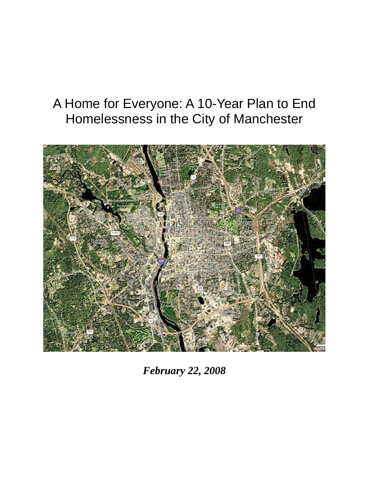# A Home for Everyone: A 10-Year Plan to End Homelessness in the City of Manchester



*February 22, 2008*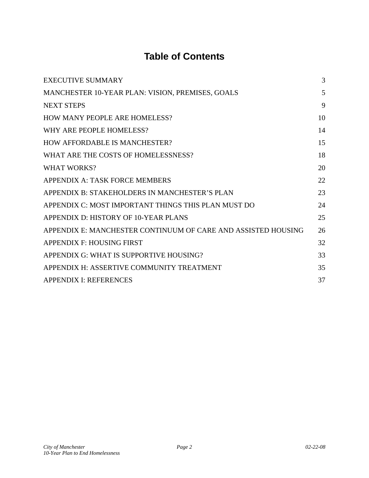## **Table of Contents**

| <b>EXECUTIVE SUMMARY</b>                                      | 3  |
|---------------------------------------------------------------|----|
| MANCHESTER 10-YEAR PLAN: VISION, PREMISES, GOALS              | 5  |
| <b>NEXT STEPS</b>                                             | 9  |
| <b>HOW MANY PEOPLE ARE HOMELESS?</b>                          | 10 |
| WHY ARE PEOPLE HOMELESS?                                      | 14 |
| <b>HOW AFFORDABLE IS MANCHESTER?</b>                          | 15 |
| WHAT ARE THE COSTS OF HOMELESSNESS?                           | 18 |
| <b>WHAT WORKS?</b>                                            | 20 |
| APPENDIX A: TASK FORCE MEMBERS                                | 22 |
| APPENDIX B: STAKEHOLDERS IN MANCHESTER'S PLAN                 | 23 |
| APPENDIX C: MOST IMPORTANT THINGS THIS PLAN MUST DO           | 24 |
| APPENDIX D: HISTORY OF 10-YEAR PLANS                          | 25 |
| APPENDIX E: MANCHESTER CONTINUUM OF CARE AND ASSISTED HOUSING | 26 |
| <b>APPENDIX F: HOUSING FIRST</b>                              | 32 |
| APPENDIX G: WHAT IS SUPPORTIVE HOUSING?                       | 33 |
| APPENDIX H: ASSERTIVE COMMUNITY TREATMENT                     | 35 |
| <b>APPENDIX I: REFERENCES</b>                                 | 37 |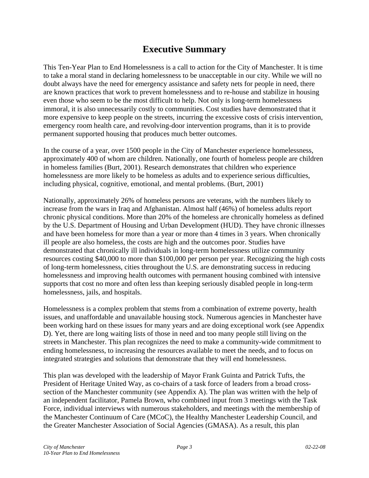### **Executive Summary**

This Ten-Year Plan to End Homelessness is a call to action for the City of Manchester. It is time to take a moral stand in declaring homelessness to be unacceptable in our city. While we will no doubt always have the need for emergency assistance and safety nets for people in need, there are known practices that work to prevent homelessness and to re-house and stabilize in housing even those who seem to be the most difficult to help. Not only is long-term homelessness immoral, it is also unnecessarily costly to communities. Cost studies have demonstrated that it more expensive to keep people on the streets, incurring the excessive costs of crisis intervention, emergency room health care, and revolving-door intervention programs, than it is to provide permanent supported housing that produces much better outcomes.

In the course of a year, over 1500 people in the City of Manchester experience homelessness, approximately 400 of whom are children. Nationally, one fourth of homeless people are children in homeless families (Burt, 2001). Research demonstrates that children who experience homelessness are more likely to be homeless as adults and to experience serious difficulties, including physical, cognitive, emotional, and mental problems. (Burt, 2001)

Nationally, approximately 26% of homeless persons are veterans, with the numbers likely to increase from the wars in Iraq and Afghanistan. Almost half (46%) of homeless adults report chronic physical conditions. More than 20% of the homeless are chronically homeless as defined by the U.S. Department of Housing and Urban Development (HUD). They have chronic illnesses and have been homeless for more than a year or more than 4 times in 3 years. When chronically ill people are also homeless, the costs are high and the outcomes poor. Studies have demonstrated that chronically ill individuals in long-term homelessness utilize community resources costing \$40,000 to more than \$100,000 per person per year. Recognizing the high costs of long-term homelessness, cities throughout the U.S. are demonstrating success in reducing homelessness and improving health outcomes with permanent housing combined with intensive supports that cost no more and often less than keeping seriously disabled people in long-term homelessness, jails, and hospitals.

Homelessness is a complex problem that stems from a combination of extreme poverty, health issues, and unaffordable and unavailable housing stock. Numerous agencies in Manchester have been working hard on these issues for many years and are doing exceptional work (see Appendix D). Yet, there are long waiting lists of those in need and too many people still living on the streets in Manchester. This plan recognizes the need to make a community-wide commitment to ending homelessness, to increasing the resources available to meet the needs, and to focus on integrated strategies and solutions that demonstrate that they will end homelessness.

This plan was developed with the leadership of Mayor Frank Guinta and Patrick Tufts, the President of Heritage United Way, as co-chairs of a task force of leaders from a broad crosssection of the Manchester community (see Appendix A). The plan was written with the help of an independent facilitator, Pamela Brown, who combined input from 3 meetings with the Task Force, individual interviews with numerous stakeholders, and meetings with the membership of the Manchester Continuum of Care (MCoC), the Healthy Manchester Leadership Council, and the Greater Manchester Association of Social Agencies (GMASA). As a result, this plan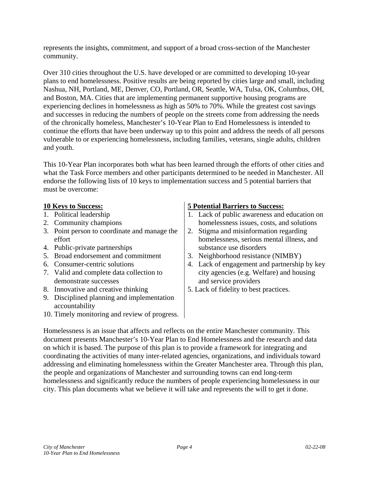represents the insights, commitment, and support of a broad cross-section of the Manchester community.

Over 310 cities throughout the U.S. have developed or are committed to developing 10-year plans to end homelessness. Positive results are being reported by cities large and small, including Nashua, NH, Portland, ME, Denver, CO, Portland, OR, Seattle, WA, Tulsa, OK, Columbus, OH, and Boston, MA. Cities that are implementing permanent supportive housing programs are experiencing declines in homelessness as high as 50% to 70%. While the greatest cost savings and successes in reducing the numbers of people on the streets come from addressing the needs of the chronically homeless, Manchester's 10-Year Plan to End Homelessness is intended to continue the efforts that have been underway up to this point and address the needs of all persons vulnerable to or experiencing homelessness, including families, veterans, single adults, children and youth.

This 10-Year Plan incorporates both what has been learned through the efforts of other cities and what the Task Force members and other participants determined to be needed in Manchester. All endorse the following lists of 10 keys to implementation success and 5 potential barriers that must be overcome:

- 1. Political leadership
- 2. Community champions
- 3. Point person to coordinate and manage the effort
- 4. Public-private partnerships
- 5. Broad endorsement and commitment
- 6. Consumer-centric solutions
- 7. Valid and complete data collection to demonstrate successes
- 8. Innovative and creative thinking
- 9. Disciplined planning and implementation accountability
- 10. Timely monitoring and review of progress.

#### **10 Keys to Success: 5 Potential Barriers to Success:**

- 1. Lack of public awareness and education on homelessness issues, costs, and solutions
- 2. Stigma and misinformation regarding homelessness, serious mental illness, and substance use disorders
- 3. Neighborhood resistance (NIMBY)
- 4. Lack of engagement and partnership by key city agencies (e.g. Welfare) and housing and service providers
- 5. Lack of fidelity to best practices.

Homelessness is an issue that affects and reflects on the entire Manchester community. This document presents Manchester's 10-Year Plan to End Homelessness and the research and data on which it is based. The purpose of this plan is to provide a framework for integrating and coordinating the activities of many inter-related agencies, organizations, and individuals toward addressing and eliminating homelessness within the Greater Manchester area. Through this plan, the people and organizations of Manchester and surrounding towns can end long-term homelessness and significantly reduce the numbers of people experiencing homelessness in our city. This plan documents what we believe it will take and represents the will to get it done.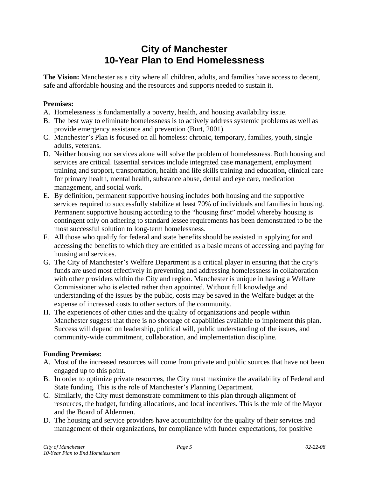### **City of Manchester 10-Year Plan to End Homelessness**

The Vision: Manchester as a city where all children, adults, and families have access to decent, safe and affordable housing and the resources and supports needed to sustain it.

#### **Premises:**

- A. Homelessness is fundamentally a poverty, health, and housing availability issue.
- B. The best way to eliminate homelessness is to actively address systemic problems as well as provide emergency assistance and prevention (Burt, 2001).
- C. Manchester's Plan is focused on all homeless: chronic, temporary, families, youth, single adults, veterans.
- D. Neither housing nor services alone will solve the problem of homelessness. Both housing and services are critical. Essential services include integrated case management, employment training and support, transportation, health and life skills training and education, clinical care for primary health, mental health, substance abuse, dental and eye care, medication management, and social work.
- E. By definition, permanent supportive housing includes both housing and the supportive services required to successfully stabilize at least 70% of individuals and families in housing. Permanent supportive housing according to the "housing first" model whereby housing is contingent only on adhering to standard lessee requirements has been demonstrated to be the most successful solution to long-term homelessness.
- F. All those who qualify for federal and state benefits should be assisted in applying for and accessing the benefits to which they are entitled as a basic means of accessing and paying for housing and services.
- G. The City of Manchester's Welfare Department is a critical player in ensuring that the city's funds are used most effectively in preventing and addressing homelessness in collaboration with other providers within the City and region. Manchester is unique in having a Welfare Commissioner who is elected rather than appointed. Without full knowledge and understanding of the issues by the public, costs may be saved in the Welfare budget at the expense of increased costs to other sectors of the community.
- H. The experiences of other cities and the quality of organizations and people within Manchester suggest that there is no shortage of capabilities available to implement this plan. Success will depend on leadership, political will, public understanding of the issues, and community-wide commitment, collaboration, and implementation discipline.

#### **Funding Premises:**

- A. Most of the increased resources will come from private and public sources that have not been engaged up to this point.
- B. In order to optimize private resources, the City must maximize the availability of Federal and State funding. This is the role of Manchester's Planning Department.
- C. Similarly, the City must demonstrate commitment to this plan through alignment of resources, the budget, funding allocations, and local incentives. This is the role of the Mayor and the Board of Aldermen.
- D. The housing and service providers have accountability for the quality of their services and management of their organizations, for compliance with funder expectations, for positive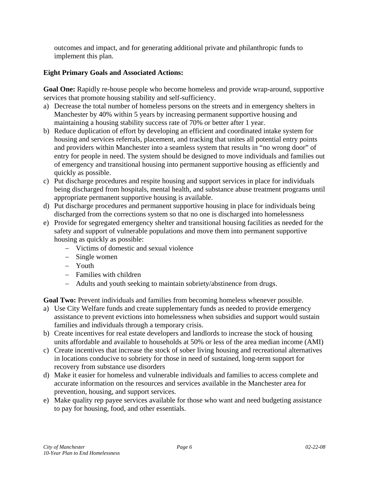outcomes and impact, and for generating additional private and philanthropic funds to implement this plan.

#### **Eight Primary Goals and Associated Actions:**

**Goal One:** Rapidly re-house people who become homeless and provide wrap-around, supportive services that promote housing stability and self-sufficiency.

- a) Decrease the total number of homeless persons on the streets and in emergency shelters in Manchester by 40% within 5 years by increasing permanent supportive housing and maintaining a housing stability success rate of 70% or better after 1 year.
- b) Reduce duplication of effort by developing an efficient and coordinated intake system for housing and services referrals, placement, and tracking that unites all potential entry points and providers within Manchester into a seamless system that results in "no wrong door" of entry for people in need. The system should be designed to move individuals and families out of emergency and transitional housing into permanent supportive housing as efficiently and quickly as possible.
- c) Put discharge procedures and respite housing and support services in place for individuals being discharged from hospitals, mental health, and substance abuse treatment programs until appropriate permanent supportive housing is available.
- d) Put discharge procedures and permanent supportive housing in place for individuals being discharged from the corrections system so that no one is discharged into homelessness
- e) Provide for segregated emergency shelter and transitional housing facilities as needed for the safety and support of vulnerable populations and move them into permanent supportive housing as quickly as possible:
	- − Victims of domestic and sexual violence
	- − Single women
	- − Youth
	- − Families with children
	- − Adults and youth seeking to maintain sobriety/abstinence from drugs.

**Goal Two:** Prevent individuals and families from becoming homeless whenever possible.

- a) Use City Welfare funds and create supplementary funds as needed to provide emergency assistance to prevent evictions into homelessness when subsidies and support would sustain families and individuals through a temporary crisis.
- b) Create incentives for real estate developers and landlords to increase the stock of housing units affordable and available to households at 50% or less of the area median income (AMI)
- c) Create incentives that increase the stock of sober living housing and recreational alternatives in locations conducive to sobriety for those in need of sustained, long-term support for recovery from substance use disorders
- d) Make it easier for homeless and vulnerable individuals and families to access complete and accurate information on the resources and services available in the Manchester area for prevention, housing, and support services.
- e) Make quality rep payee services available for those who want and need budgeting assistance to pay for housing, food, and other essentials.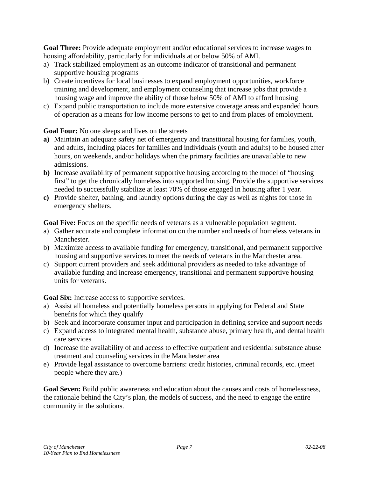**Goal Three:** Provide adequate employment and/or educational services to increase wages to housing affordability, particularly for individuals at or below 50% of AMI.

- a) Track stabilized employment as an outcome indicator of transitional and permanent supportive housing programs
- b) Create incentives for local businesses to expand employment opportunities, workforce training and development, and employment counseling that increase jobs that provide a housing wage and improve the ability of those below 50% of AMI to afford housing
- c) Expand public transportation to include more extensive coverage areas and expanded hours of operation as a means for low income persons to get to and from places of employment.

#### **Goal Four:** No one sleeps and lives on the streets

- **a)** Maintain an adequate safety net of emergency and transitional housing for families, youth, and adults, including places for families and individuals (youth and adults) to be housed after hours, on weekends, and/or holidays when the primary facilities are unavailable to new admissions.
- **b)** Increase availability of permanent supportive housing according to the model of "housing first" to get the chronically homeless into supported housing. Provide the supportive services needed to successfully stabilize at least 70% of those engaged in housing after 1 year.
- **c)** Provide shelter, bathing, and laundry options during the day as well as nights for those in emergency shelters.

**Goal Five:** Focus on the specific needs of veterans as a vulnerable population segment.

- a) Gather accurate and complete information on the number and needs of homeless veterans in Manchester.
- b) Maximize access to available funding for emergency, transitional, and permanent supportive housing and supportive services to meet the needs of veterans in the Manchester area.
- c) Support current providers and seek additional providers as needed to take advantage of available funding and increase emergency, transitional and permanent supportive housing units for veterans.

**Goal Six:** Increase access to supportive services.

- a) Assist all homeless and potentially homeless persons in applying for Federal and State benefits for which they qualify
- b) Seek and incorporate consumer input and participation in defining service and support needs
- c) Expand access to integrated mental health, substance abuse, primary health, and dental health care services
- d) Increase the availability of and access to effective outpatient and residential substance abuse treatment and counseling services in the Manchester area
- e) Provide legal assistance to overcome barriers: credit histories, criminal records, etc. (meet people where they are.)

**Goal Seven:** Build public awareness and education about the causes and costs of homelessness, the rationale behind the City's plan, the models of success, and the need to engage the entire community in the solutions.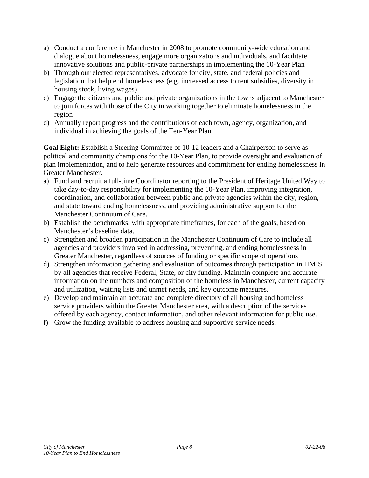- a) Conduct a conference in Manchester in 2008 to promote community-wide education and dialogue about homelessness, engage more organizations and individuals, and facilitate innovative solutions and public-private partnerships in implementing the 10-Year Plan
- b) Through our elected representatives, advocate for city, state, and federal policies and legislation that help end homelessness (e.g. increased access to rent subsidies, diversity in housing stock, living wages)
- c) Engage the citizens and public and private organizations in the towns adjacent to Manchester to join forces with those of the City in working together to eliminate homelessness in the region
- d) Annually report progress and the contributions of each town, agency, organization, and individual in achieving the goals of the Ten-Year Plan.

**Goal Eight:** Establish a Steering Committee of 10-12 leaders and a Chairperson to serve as political and community champions for the 10-Year Plan, to provide oversight and evaluation of plan implementation, and to help generate resources and commitment for ending homelessness in Greater Manchester.

- a) Fund and recruit a full-time Coordinator reporting to the President of Heritage United Way to take day-to-day responsibility for implementing the 10-Year Plan, improving integration, coordination, and collaboration between public and private agencies within the city, region, and state toward ending homelessness, and providing administrative support for the Manchester Continuum of Care.
- b) Establish the benchmarks, with appropriate timeframes, for each of the goals, based on Manchester's baseline data.
- c) Strengthen and broaden participation in the Manchester Continuum of Care to include all agencies and providers involved in addressing, preventing, and ending homelessness in Greater Manchester, regardless of sources of funding or specific scope of operations
- d) Strengthen information gathering and evaluation of outcomes through participation in HMIS by all agencies that receive Federal, State, or city funding. Maintain complete and accurate information on the numbers and composition of the homeless in Manchester, current capacity and utilization, waiting lists and unmet needs, and key outcome measures.
- e) Develop and maintain an accurate and complete directory of all housing and homeless service providers within the Greater Manchester area, with a description of the services offered by each agency, contact information, and other relevant information for public use.
- f) Grow the funding available to address housing and supportive service needs.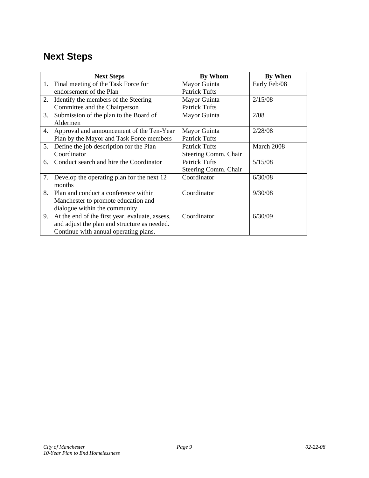# **Next Steps**

|    | <b>Next Steps</b>                               | <b>By Whom</b>       | <b>By When</b> |
|----|-------------------------------------------------|----------------------|----------------|
| 1. | Final meeting of the Task Force for             | Mayor Guinta         | Early Feb/08   |
|    | endorsement of the Plan                         | <b>Patrick Tufts</b> |                |
| 2. | Identify the members of the Steering            | Mayor Guinta         | 2/15/08        |
|    | Committee and the Chairperson                   | <b>Patrick Tufts</b> |                |
| 3. | Submission of the plan to the Board of          | Mayor Guinta         | 2/08           |
|    | Aldermen                                        |                      |                |
| 4. | Approval and announcement of the Ten-Year       | Mayor Guinta         | 2/28/08        |
|    | Plan by the Mayor and Task Force members        | <b>Patrick Tufts</b> |                |
|    | 5. Define the job description for the Plan      | <b>Patrick Tufts</b> | March 2008     |
|    | Coordinator                                     | Steering Comm. Chair |                |
| 6. | Conduct search and hire the Coordinator         | <b>Patrick Tufts</b> | 5/15/08        |
|    |                                                 | Steering Comm. Chair |                |
| 7. | Develop the operating plan for the next 12      | Coordinator          | 6/30/08        |
|    | months                                          |                      |                |
|    | 8. Plan and conduct a conference within         | Coordinator          | 9/30/08        |
|    | Manchester to promote education and             |                      |                |
|    | dialogue within the community                   |                      |                |
| 9. | At the end of the first year, evaluate, assess, | Coordinator          | 6/30/09        |
|    | and adjust the plan and structure as needed.    |                      |                |
|    | Continue with annual operating plans.           |                      |                |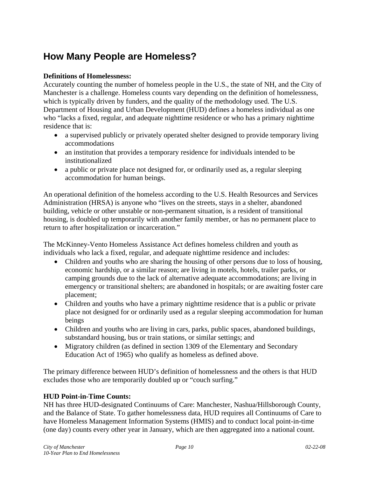### **How Many People are Homeless?**

#### **Definitions of Homelessness:**

Accurately counting the number of homeless people in the U.S., the state of NH, and the City of Manchester is a challenge. Homeless counts vary depending on the definition of homelessness, which is typically driven by funders, and the quality of the methodology used. The U.S. Department of Housing and Urban Development (HUD) defines a homeless individual as one who "lacks a fixed, regular, and adequate nighttime residence or who has a primary nighttime residence that is:

- a supervised publicly or privately operated shelter designed to provide temporary living accommodations
- an institution that provides a temporary residence for individuals intended to be institutionalized
- a public or private place not designed for, or ordinarily used as, a regular sleeping accommodation for human beings.

An operational definition of the homeless according to the U.S. Health Resources and Services Administration (HRSA) is anyone who "lives on the streets, stays in a shelter, abandoned building, vehicle or other unstable or non-permanent situation, is a resident of transitional housing, is doubled up temporarily with another family member, or has no permanent place to return to after hospitalization or incarceration."

The McKinney-Vento Homeless Assistance Act defines homeless children and youth as individuals who lack a fixed, regular, and adequate nighttime residence and includes:

- Children and youths who are sharing the housing of other persons due to loss of housing, economic hardship, or a similar reason; are living in motels, hotels, trailer parks, or camping grounds due to the lack of alternative adequate accommodations; are living in emergency or transitional shelters; are abandoned in hospitals; or are awaiting foster care placement;
- Children and youths who have a primary nighttime residence that is a public or private place not designed for or ordinarily used as a regular sleeping accommodation for human beings
- Children and youths who are living in cars, parks, public spaces, abandoned buildings, substandard housing, bus or train stations, or similar settings; and
- Migratory children (as defined in section 1309 of the Elementary and Secondary Education Act of 1965) who qualify as homeless as defined above.

The primary difference between HUD's definition of homelessness and the others is that HUD excludes those who are temporarily doubled up or "couch surfing."

#### **HUD Point-in-Time Counts:**

NH has three HUD-designated Continuums of Care: Manchester, Nashua/Hillsborough County, and the Balance of State. To gather homelessness data, HUD requires all Continuums of Care to have Homeless Management Information Systems (HMIS) and to conduct local point-in-time (one day) counts every other year in January, which are then aggregated into a national count.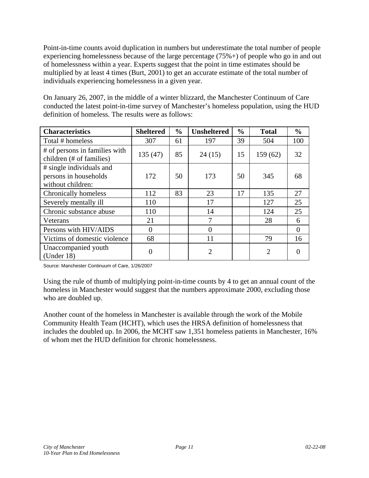Point-in-time counts avoid duplication in numbers but underestimate the total number of people experiencing homelessness because of the large percentage (75%+) of people who go in and out of homelessness within a year. Experts suggest that the point in time estimates should be multiplied by at least 4 times (Burt, 2001) to get an accurate estimate of the total number of individuals experiencing homelessness in a given year.

On January 26, 2007, in the middle of a winter blizzard, the Manchester Continuum of Care conducted the latest point-in-time survey of Manchester's homeless population, using the HUD definition of homeless. The results were as follows:

| <b>Characteristics</b>                                                 | <b>Sheltered</b> | $\frac{0}{0}$ | <b>Unsheltered</b> | $\frac{0}{0}$ | <b>Total</b>   | $\frac{0}{0}$ |
|------------------------------------------------------------------------|------------------|---------------|--------------------|---------------|----------------|---------------|
| Total # homeless                                                       | 307              | 61            | 197                | 39            | 504            | 100           |
| # of persons in families with<br>children (# of families)              | 135(47)          | 85            | 24(15)             | 15            | 159(62)        | 32            |
| # single individuals and<br>persons in households<br>without children: | 172              | 50            | 173                | 50            | 345            | 68            |
| Chronically homeless                                                   | 112              | 83            | 23                 | 17            | 135            | 27            |
| Severely mentally ill                                                  | 110              |               | 17                 |               | 127            | 25            |
| Chronic substance abuse                                                | 110              |               | 14                 |               | 124            | 25            |
| Veterans                                                               | 21               |               | 7                  |               | 28             | 6             |
| Persons with HIV/AIDS                                                  | $\overline{0}$   |               | 0                  |               |                | $\Omega$      |
| Victims of domestic violence                                           | 68               |               | 11                 |               | 79             | 16            |
| Unaccompanied youth<br>(Under $18$ )                                   | $\overline{0}$   |               | $\overline{2}$     |               | $\overline{2}$ |               |

Source: Manchester Continuum of Care, 1/26/2007

Using the rule of thumb of multiplying point-in-time counts by 4 to get an annual count of the homeless in Manchester would suggest that the numbers approximate 2000, excluding those who are doubled up.

Another count of the homeless in Manchester is available through the work of the Mobile Community Health Team (HCHT), which uses the HRSA definition of homelessness that includes the doubled up. In 2006, the MCHT saw 1,351 homeless patients in Manchester, 16% of whom met the HUD definition for chronic homelessness.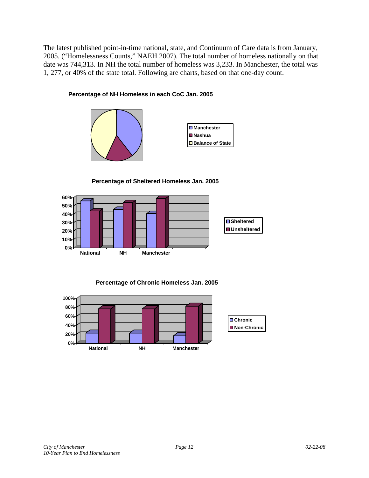The latest published point-in-time national, state, and Continuum of Care data is from January, 2005. ("Homelessness Counts," NAEH 2007). The total number of homeless nationally on that date was 744,313. In NH the total number of homeless was 3,233. In Manchester, the total was 1, 277, or 40% of the state total. Following are charts, based on that one-day count.

#### **Percentage of NH Homeless in each CoC Jan. 2005**





**Percentage of Sheltered Homeless Jan. 2005**



**Percentage of Chronic Homeless Jan. 2005**

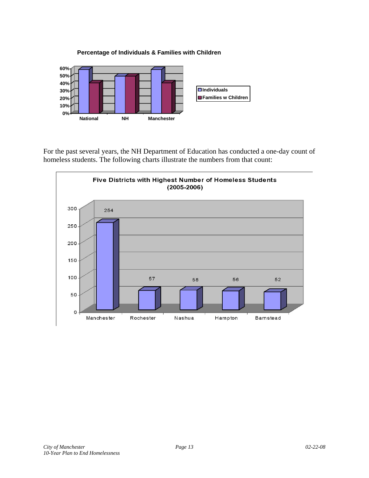**Percentage of Individuals & Families with Children**



For the past several years, the NH Department of Education has conducted a one-day count of homeless students. The following charts illustrate the numbers from that count:

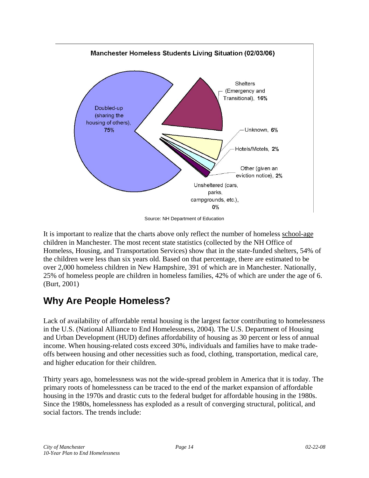

Source: NH Department of Education

It is important to realize that the charts above only reflect the number of homeless school-age children in Manchester. The most recent state statistics (collected by the NH Office of Homeless, Housing, and Transportation Services) show that in the state-funded shelters, 54% of the children were less than six years old. Based on that percentage, there are estimated to be over 2,000 homeless children in New Hampshire, 391 of which are in Manchester. Nationally, 25% of homeless people are children in homeless families, 42% of which are under the age of 6. (Burt, 2001)

### **Why Are People Homeless?**

Lack of availability of affordable rental housing is the largest factor contributing to homelessness in the U.S. (National Alliance to End Homelessness, 2004). The U.S. Department of Housing and Urban Development (HUD) defines affordability of housing as 30 percent or less of annual income. When housing-related costs exceed 30%, individuals and families have to make tradeoffs between housing and other necessities such as food, clothing, transportation, medical care, and higher education for their children.

Thirty years ago, homelessness was not the wide-spread problem in America that it is today. The primary roots of homelessness can be traced to the end of the market expansion of affordable housing in the 1970s and drastic cuts to the federal budget for affordable housing in the 1980s. Since the 1980s, homelessness has exploded as a result of converging structural, political, and social factors. The trends include: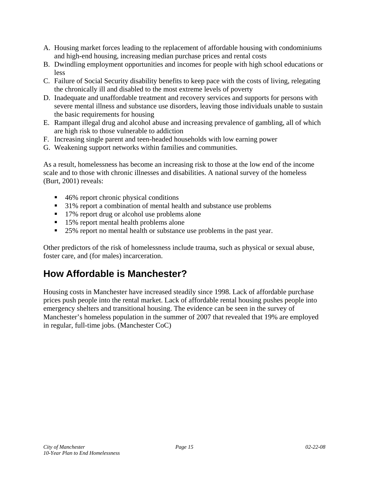- A. Housing market forces leading to the replacement of affordable housing with condominiums and high-end housing, increasing median purchase prices and rental costs
- B. Dwindling employment opportunities and incomes for people with high school educations or less
- C. Failure of Social Security disability benefits to keep pace with the costs of living, relegating the chronically ill and disabled to the most extreme levels of poverty
- D. Inadequate and unaffordable treatment and recovery services and supports for persons with severe mental illness and substance use disorders, leaving those individuals unable to sustain the basic requirements for housing
- E. Rampant illegal drug and alcohol abuse and increasing prevalence of gambling, all of which are high risk to those vulnerable to addiction
- F. Increasing single parent and teen-headed households with low earning power
- G. Weakening support networks within families and communities.

As a result, homelessness has become an increasing risk to those at the low end of the income scale and to those with chronic illnesses and disabilities. A national survey of the homeless (Burt, 2001) reveals:

- 46% report chronic physical conditions
- <sup>31</sup>% report a combination of mental health and substance use problems
- 17% report drug or alcohol use problems alone
- 15% report mental health problems alone
- 25% report no mental health or substance use problems in the past year.

Other predictors of the risk of homelessness include trauma, such as physical or sexual abuse, foster care, and (for males) incarceration.

### **How Affordable is Manchester?**

Housing costs in Manchester have increased steadily since 1998. Lack of affordable purchase prices push people into the rental market. Lack of affordable rental housing pushes people into emergency shelters and transitional housing. The evidence can be seen in the survey of Manchester's homeless population in the summer of 2007 that revealed that 19% are employed in regular, full-time jobs. (Manchester CoC)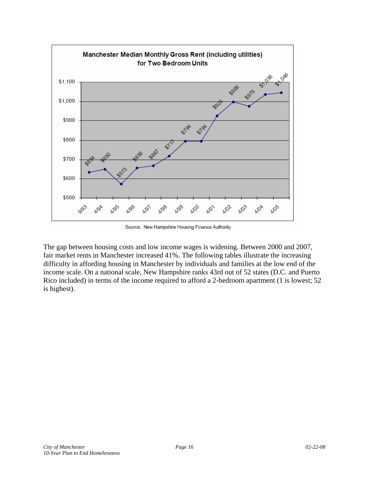

Source: New Hampshire Housing Finance Authority

The gap between housing costs and low income wages is widening. Between 2000 and 2007, fair market rents in Manchester increased 41%. The following tables illustrate the increasing difficulty in affording housing in Manchester by individuals and families at the low end of the income scale. On a national scale, New Hampshire ranks 43rd out of 52 states (D.C. and Puerto Rico included) in terms of the income required to afford a 2-bedroom apartment (1 is lowest; 52 is highest).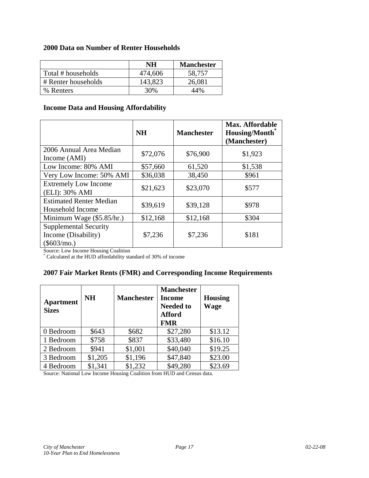#### **2000 Data on Number of Renter Households**

|                     | NH      | <b>Manchester</b> |
|---------------------|---------|-------------------|
| Total # households  | 474,606 | 58,757            |
| # Renter households | 143,823 | 26,081            |
| % Renters           | 30%     | 44%               |

#### **Income Data and Housing Affordability**

|                                                                      | <b>NH</b> | <b>Manchester</b> | <b>Max. Affordable</b><br>Housing/Month <sup>®</sup><br>(Manchester) |
|----------------------------------------------------------------------|-----------|-------------------|----------------------------------------------------------------------|
| 2006 Annual Area Median<br>Income (AMI)                              | \$72,076  | \$76,900          | \$1,923                                                              |
| Low Income: 80% AMI                                                  | \$57,660  | 61,520            | \$1,538                                                              |
| Very Low Income: 50% AMI                                             | \$36,038  | 38,450            | \$961                                                                |
| <b>Extremely Low Income</b><br>(ELI): 30% AMI                        | \$21,623  | \$23,070          | \$577                                                                |
| <b>Estimated Renter Median</b><br>Household Income                   | \$39,619  | \$39,128          | \$978                                                                |
| Minimum Wage (\$5.85/hr.)                                            | \$12,168  | \$12,168          | \$304                                                                |
| <b>Supplemental Security</b><br>Income (Disability)<br>$(\$603/mo.)$ | \$7,236   | \$7,236           | \$181                                                                |

Source: Low Income Housing Coalition

\* Calculated at the HUD affordability standard of 30% of income

#### **2007 Fair Market Rents (FMR) and Corresponding Income Requirements**

| <b>Apartment</b><br><b>Sizes</b> | <b>NH</b> | <b>Manchester</b> | <b>Manchester</b><br>Income<br><b>Needed to</b><br><b>Afford</b><br><b>FMR</b> | <b>Housing</b><br><b>Wage</b> |
|----------------------------------|-----------|-------------------|--------------------------------------------------------------------------------|-------------------------------|
| 0 Bedroom                        | \$643     | \$682             | \$27,280                                                                       | \$13.12                       |
| 1 Bedroom                        | \$758     | \$837             | \$33,480                                                                       | \$16.10                       |
| 2 Bedroom                        | \$941     | \$1,001           | \$40,040                                                                       | \$19.25                       |
| 3 Bedroom                        | \$1,205   | \$1,196           | \$47,840                                                                       | \$23.00                       |
| 4 Bedroom                        | \$1,341   | \$1,232           | \$49,280                                                                       | \$23.69                       |

Source: National Low Income Housing Coalition from HUD and Census data.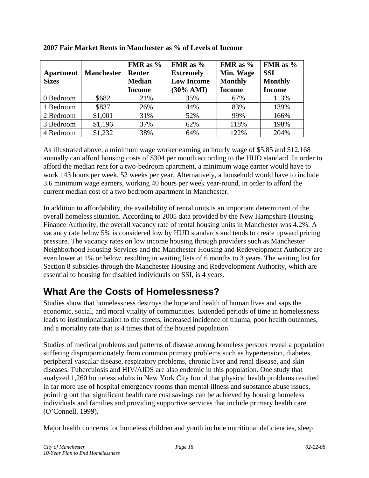| <b>Apartment</b><br><b>Sizes</b> | <b>Manchester</b> | FMR as $%$<br>Renter<br><b>Median</b><br><b>Income</b> | FMR as $%$<br><b>Extremely</b><br><b>Low Income</b><br>$(30\% \text{ AMI})$ | FMR as $%$<br>Min. Wage<br><b>Monthly</b><br><b>Income</b> | FMR as $%$<br><b>SSI</b><br><b>Monthly</b><br><b>Income</b> |
|----------------------------------|-------------------|--------------------------------------------------------|-----------------------------------------------------------------------------|------------------------------------------------------------|-------------------------------------------------------------|
| 0 Bedroom                        | \$682             | 21%                                                    | 35%                                                                         | 67%                                                        | 113%                                                        |
| 1 Bedroom                        | \$837             | 26%                                                    | 44%                                                                         | 83%                                                        | 139%                                                        |
| 2 Bedroom                        | \$1,001           | 31%                                                    | 52%                                                                         | 99%                                                        | 166%                                                        |
| 3 Bedroom                        | \$1,196           | 37%                                                    | 62%                                                                         | 118%                                                       | 198%                                                        |
| 4 Bedroom                        | \$1,232           | 38%                                                    | 64%                                                                         | 122%                                                       | 204%                                                        |

**2007 Fair Market Rents in Manchester as % of Levels of Income** 

As illustrated above, a minimum wage worker earning an hourly wage of \$5.85 and \$12,168 annually can afford housing costs of \$304 per month according to the HUD standard. In order to afford the median rent for a two-bedroom apartment, a minimum wage earner would have to work 143 hours per week, 52 weeks per year. Alternatively, a household would have to include 3.6 minimum wage earners, working 40 hours per week year-round, in order to afford the current median cost of a two bedroom apartment in Manchester.

In addition to affordability, the availability of rental units is an important determinant of the overall homeless situation. According to 2005 data provided by the New Hampshire Housing Finance Authority, the overall vacancy rate of rental housing units in Manchester was 4.2%. A vacancy rate below 5% is considered low by HUD standards and tends to create upward pricing pressure. The vacancy rates on low income housing through providers such as Manchester Neighborhood Housing Services and the Manchester Housing and Redevelopment Authority are even lower at 1% or below, resulting in waiting lists of 6 months to 3 years. The waiting list for Section 8 subsidies through the Manchester Housing and Redevelopment Authority, which are essential to housing for disabled individuals on SSI, is 4 years.

### **What Are the Costs of Homelessness?**

Studies show that homelessness destroys the hope and health of human lives and saps the economic, social, and moral vitality of communities. Extended periods of time in homelessness leads to institutionalization to the streets, increased incidence of trauma, poor health outcomes, and a mortality rate that is 4 times that of the housed population.

Studies of medical problems and patterns of disease among homeless persons reveal a population suffering disproportionately from common primary problems such as hypertension, diabetes, peripheral vascular disease, respiratory problems, chronic liver and renal disease, and skin diseases. Tuberculosis and HIV/AIDS are also endemic in this population. One study that analyzed 1,260 homeless adults in New York City found that physical health problems resulted in far more use of hospital emergency rooms than mental illness and substance abuse issues, pointing out that significant health care cost savings can be achieved by housing homeless individuals and families and providing supportive services that include primary health care (O'Connell, 1999).

Major health concerns for homeless children and youth include nutritional deficiencies, sleep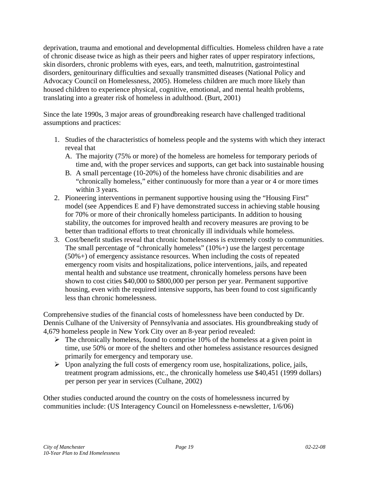deprivation, trauma and emotional and developmental difficulties. Homeless children have a rate of chronic disease twice as high as their peers and higher rates of upper respiratory infections, skin disorders, chronic problems with eyes, ears, and teeth, malnutrition, gastrointestinal disorders, genitourinary difficulties and sexually transmitted diseases (National Policy and Advocacy Council on Homelessness, 2005). Homeless children are much more likely than housed children to experience physical, cognitive, emotional, and mental health problems, translating into a greater risk of homeless in adulthood. (Burt, 2001)

Since the late 1990s, 3 major areas of groundbreaking research have challenged traditional assumptions and practices:

- 1. Studies of the characteristics of homeless people and the systems with which they interact reveal that
	- A. The majority (75% or more) of the homeless are homeless for temporary periods of time and, with the proper services and supports, can get back into sustainable housing
	- B. A small percentage (10-20%) of the homeless have chronic disabilities and are "chronically homeless," either continuously for more than a year or 4 or more times within 3 years.
- 2. Pioneering interventions in permanent supportive housing using the "Housing First" model (see Appendices E and F) have demonstrated success in achieving stable housing for 70% or more of their chronically homeless participants. In addition to housing stability, the outcomes for improved health and recovery measures are proving to be better than traditional efforts to treat chronically ill individuals while homeless.
- 3. Cost/benefit studies reveal that chronic homelessness is extremely costly to communities. The small percentage of "chronically homeless"  $(10\%) +$  use the largest percentage (50%+) of emergency assistance resources. When including the costs of repeated emergency room visits and hospitalizations, police interventions, jails, and repeated mental health and substance use treatment, chronically homeless persons have been shown to cost cities \$40,000 to \$800,000 per person per year. Permanent supportive housing, even with the required intensive supports, has been found to cost significantly less than chronic homelessness.

Comprehensive studies of the financial costs of homelessness have been conducted by Dr. Dennis Culhane of the University of Pennsylvania and associates. His groundbreaking study of 4,679 homeless people in New York City over an 8-year period revealed:

- $\triangleright$  The chronically homeless, found to comprise 10% of the homeless at a given point in time, use 50% or more of the shelters and other homeless assistance resources designed primarily for emergency and temporary use.
- $\triangleright$  Upon analyzing the full costs of emergency room use, hospitalizations, police, jails, treatment program admissions, etc., the chronically homeless use \$40,451 (1999 dollars) per person per year in services (Culhane, 2002)

Other studies conducted around the country on the costs of homelessness incurred by communities include: (US Interagency Council on Homelessness e-newsletter, 1/6/06)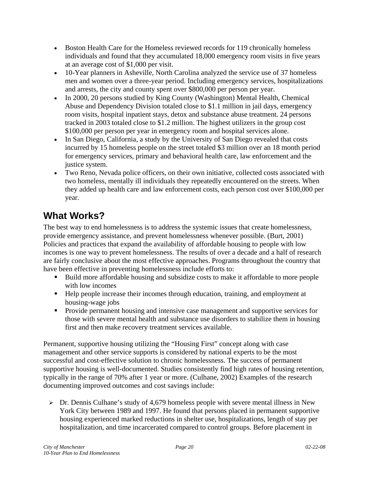- Boston Health Care for the Homeless reviewed records for 119 chronically homeless individuals and found that they accumulated 18,000 emergency room visits in five years at an average cost of \$1,000 per visit.
- 10-Year planners in Asheville, North Carolina analyzed the service use of 37 homeless men and women over a three-year period. Including emergency services, hospitalizations and arrests, the city and county spent over \$800,000 per person per year.
- In 2000, 20 persons studied by King County (Washington) Mental Health, Chemical Abuse and Dependency Division totaled close to \$1.1 million in jail days, emergency room visits, hospital inpatient stays, detox and substance abuse treatment. 24 persons tracked in 2003 totaled close to \$1.2 million. The highest utilizers in the group cost \$100,000 per person per year in emergency room and hospital services alone.
- In San Diego, California, a study by the University of San Diego revealed that costs incurred by 15 homeless people on the street totaled \$3 million over an 18 month period for emergency services, primary and behavioral health care, law enforcement and the justice system.
- Two Reno, Nevada police officers, on their own initiative, collected costs associated with two homeless, mentally ill individuals they repeatedly encountered on the streets. When they added up health care and law enforcement costs, each person cost over \$100,000 per year.

### **What Works?**

The best way to end homelessness is to address the systemic issues that create homelessness, provide emergency assistance, and prevent homelessness whenever possible. (Burt, 2001) Policies and practices that expand the availability of affordable housing to people with low incomes is one way to prevent homelessness. The results of over a decade and a half of research are fairly conclusive about the most effective approaches. Programs throughout the country that have been effective in preventing homelessness include efforts to:

- Build more affordable housing and subsidize costs to make it affordable to more people with low incomes
- Help people increase their incomes through education, training, and employment at housing-wage jobs
- **Provide permanent housing and intensive case management and supportive services for** those with severe mental health and substance use disorders to stabilize them in housing first and then make recovery treatment services available.

Permanent, supportive housing utilizing the "Housing First" concept along with case management and other service supports is considered by national experts to be the most successful and cost-effective solution to chronic homelessness. The success of permanent supportive housing is well-documented. Studies consistently find high rates of housing retention, typically in the range of 70% after 1 year or more. (Culhane, 2002) Examples of the research documenting improved outcomes and cost savings include:

 $\triangleright$  Dr. Dennis Culhane's study of 4,679 homeless people with severe mental illness in New York City between 1989 and 1997. He found that persons placed in permanent supportive housing experienced marked reductions in shelter use, hospitalizations, length of stay per hospitalization, and time incarcerated compared to control groups. Before placement in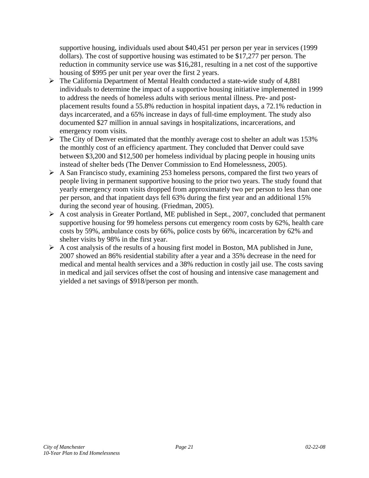supportive housing, individuals used about \$40,451 per person per year in services (1999 dollars). The cost of supportive housing was estimated to be \$17,277 per person. The reduction in community service use was \$16,281, resulting in a net cost of the supportive housing of \$995 per unit per year over the first 2 years.

- $\triangleright$  The California Department of Mental Health conducted a state-wide study of 4,881 individuals to determine the impact of a supportive housing initiative implemented in 1999 to address the needs of homeless adults with serious mental illness. Pre- and postplacement results found a 55.8% reduction in hospital inpatient days, a 72.1% reduction in days incarcerated, and a 65% increase in days of full-time employment. The study also documented \$27 million in annual savings in hospitalizations, incarcerations, and emergency room visits.
- $\triangleright$  The City of Denver estimated that the monthly average cost to shelter an adult was 153% the monthly cost of an efficiency apartment. They concluded that Denver could save between \$3,200 and \$12,500 per homeless individual by placing people in housing units instead of shelter beds (The Denver Commission to End Homelessness, 2005).
- $\triangleright$  A San Francisco study, examining 253 homeless persons, compared the first two years of people living in permanent supportive housing to the prior two years. The study found that yearly emergency room visits dropped from approximately two per person to less than one per person, and that inpatient days fell 63% during the first year and an additional 15% during the second year of housing. (Friedman, 2005).
- $\triangleright$  A cost analysis in Greater Portland, ME published in Sept., 2007, concluded that permanent supportive housing for 99 homeless persons cut emergency room costs by 62%, health care costs by 59%, ambulance costs by 66%, police costs by 66%, incarceration by 62% and shelter visits by 98% in the first year.
- $\triangleright$  A cost analysis of the results of a housing first model in Boston, MA published in June, 2007 showed an 86% residential stability after a year and a 35% decrease in the need for medical and mental health services and a 38% reduction in costly jail use. The costs saving in medical and jail services offset the cost of housing and intensive case management and yielded a net savings of \$918/person per month.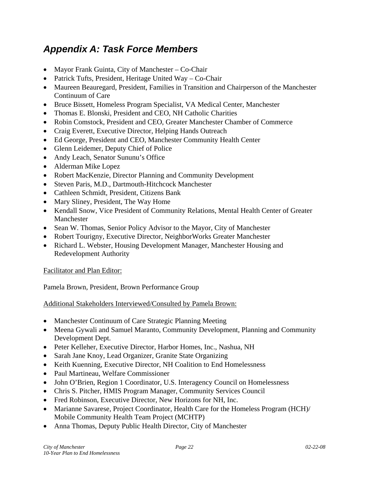### *Appendix A: Task Force Members*

- Mayor Frank Guinta, City of Manchester Co-Chair
- Patrick Tufts, President, Heritage United Way Co-Chair
- Maureen Beauregard, President, Families in Transition and Chairperson of the Manchester Continuum of Care
- Bruce Bissett, Homeless Program Specialist, VA Medical Center, Manchester
- Thomas E. Blonski, President and CEO, NH Catholic Charities
- Robin Comstock, President and CEO, Greater Manchester Chamber of Commerce
- Craig Everett, Executive Director, Helping Hands Outreach
- Ed George, President and CEO, Manchester Community Health Center
- Glenn Leidemer, Deputy Chief of Police
- Andy Leach, Senator Sununu's Office
- Alderman Mike Lopez
- Robert MacKenzie, Director Planning and Community Development
- Steven Paris, M.D., Dartmouth-Hitchcock Manchester
- Cathleen Schmidt, President, Citizens Bank
- Mary Sliney, President, The Way Home
- Kendall Snow, Vice President of Community Relations, Mental Health Center of Greater Manchester
- Sean W. Thomas, Senior Policy Advisor to the Mayor, City of Manchester
- Robert Tourigny, Executive Director, NeighborWorks Greater Manchester
- Richard L. Webster, Housing Development Manager, Manchester Housing and Redevelopment Authority

#### Facilitator and Plan Editor:

Pamela Brown, President, Brown Performance Group

Additional Stakeholders Interviewed/Consulted by Pamela Brown:

- Manchester Continuum of Care Strategic Planning Meeting
- Meena Gywali and Samuel Maranto, Community Development, Planning and Community Development Dept.
- Peter Kelleher, Executive Director, Harbor Homes, Inc., Nashua, NH
- Sarah Jane Knoy, Lead Organizer, Granite State Organizing
- Keith Kuenning, Executive Director, NH Coalition to End Homelessness
- Paul Martineau, Welfare Commissioner
- John O'Brien, Region 1 Coordinator, U.S. Interagency Council on Homelessness
- Chris S. Pitcher, HMIS Program Manager, Community Services Council
- Fred Robinson, Executive Director, New Horizons for NH, Inc.
- Marianne Savarese, Project Coordinator, Health Care for the Homeless Program (HCH)/ Mobile Community Health Team Project (MCHTP)
- Anna Thomas, Deputy Public Health Director, City of Manchester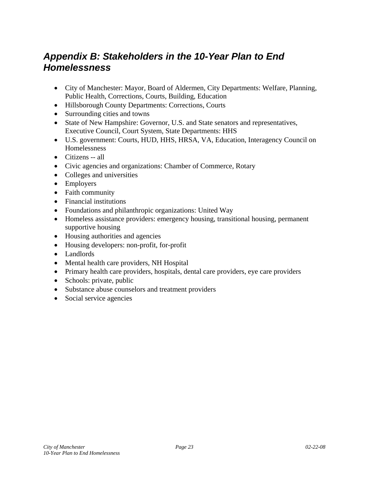### *Appendix B: Stakeholders in the 10-Year Plan to End Homelessness*

- City of Manchester: Mayor, Board of Aldermen, City Departments: Welfare, Planning, Public Health, Corrections, Courts, Building, Education
- Hillsborough County Departments: Corrections, Courts
- Surrounding cities and towns
- State of New Hampshire: Governor, U.S. and State senators and representatives, Executive Council, Court System, State Departments: HHS
- U.S. government: Courts, HUD, HHS, HRSA, VA, Education, Interagency Council on Homelessness
- Citizens -- all
- Civic agencies and organizations: Chamber of Commerce, Rotary
- Colleges and universities
- Employers
- Faith community
- Financial institutions
- Foundations and philanthropic organizations: United Way
- Homeless assistance providers: emergency housing, transitional housing, permanent supportive housing
- Housing authorities and agencies
- Housing developers: non-profit, for-profit
- Landlords
- Mental health care providers, NH Hospital
- Primary health care providers, hospitals, dental care providers, eye care providers
- Schools: private, public
- Substance abuse counselors and treatment providers
- Social service agencies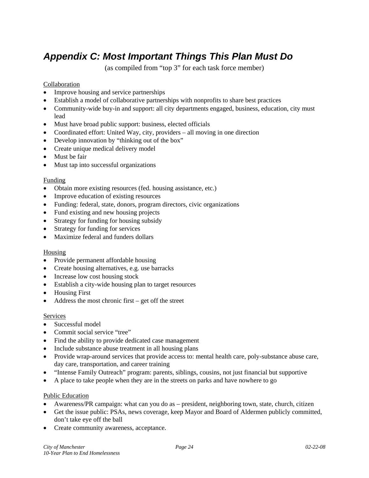### *Appendix C: Most Important Things This Plan Must Do*

(as compiled from "top 3" for each task force member)

#### Collaboration

- Improve housing and service partnerships
- Establish a model of collaborative partnerships with nonprofits to share best practices
- Community-wide buy-in and support: all city departments engaged, business, education, city must lead
- Must have broad public support: business, elected officials
- Coordinated effort: United Way, city, providers all moving in one direction
- Develop innovation by "thinking out of the box"
- Create unique medical delivery model
- Must be fair
- Must tap into successful organizations

#### Funding

- Obtain more existing resources (fed. housing assistance, etc.)
- Improve education of existing resources
- Funding: federal, state, donors, program directors, civic organizations
- Fund existing and new housing projects
- Strategy for funding for housing subsidy
- Strategy for funding for services
- Maximize federal and funders dollars

#### Housing

- Provide permanent affordable housing
- Create housing alternatives, e.g. use barracks
- Increase low cost housing stock
- Establish a city-wide housing plan to target resources
- Housing First
- Address the most chronic first get off the street

#### Services

- Successful model
- Commit social service "tree"
- Find the ability to provide dedicated case management
- Include substance abuse treatment in all housing plans
- Provide wrap-around services that provide access to: mental health care, poly-substance abuse care, day care, transportation, and career training
- "Intense Family Outreach" program: parents, siblings, cousins, not just financial but supportive
- A place to take people when they are in the streets on parks and have nowhere to go

#### Public Education

- Awareness/PR campaign: what can you do as president, neighboring town, state, church, citizen
- Get the issue public: PSAs, news coverage, keep Mayor and Board of Aldermen publicly committed, don't take eye off the ball
- Create community awareness, acceptance.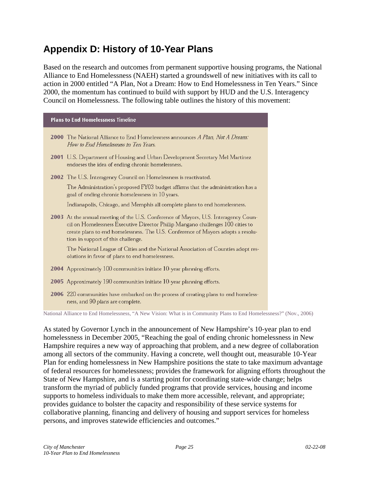### **Appendix D: History of 10-Year Plans**

Based on the research and outcomes from permanent supportive housing programs, the National Alliance to End Homelessness (NAEH) started a groundswell of new initiatives with its call to action in 2000 entitled "A Plan, Not a Dream: How to End Homelessness in Ten Years." Since 2000, the momentum has continued to build with support by HUD and the U.S. Interagency Council on Homelessness. The following table outlines the history of this movement:

#### **Plans to End Homelessness Timeline**

- 2000 The National Alliance to End Homelessness announces A Plan, Not A Dream: How to End Homelessness in Ten Years. 2001 U.S. Department of Housing and Urban Development Secretary Mel Martinez endorses the idea of ending chronic homelessness. 2002 The U.S. Interagency Council on Homelessness is reactivated. The Administration's proposed FY03 budget affirms that the administration has a goal of ending chronic homelessness in 10 years. Indianapolis, Chicago, and Memphis all complete plans to end homelessness. 2003 At the annual meeting of the U.S. Conference of Mayors, U.S. Interagency Council on Homelessness Executive Director Philip Mangano challenges 100 cities to create plans to end homelessness. The U.S. Conference of Mayors adopts a resolution in support of this challenge. The National League of Cities and the National Association of Counties adopt resolutions in favor of plans to end homelessness. 2004 Approximately 100 communities initiate 10-year planning efforts.
- 2005 Approximately 190 communities initiate 10-year planning efforts.
- 2006 220 communities have embarked on the process of creating plans to end homelessness, and 90 plans are complete.

National Alliance to End Homelessness, "A New Vision: What is in Community Plans to End Homelessness?" (Nov., 2006)

As stated by Governor Lynch in the announcement of New Hampshire's 10-year plan to end homelessness in December 2005, "Reaching the goal of ending chronic homelessness in New Hampshire requires a new way of approaching that problem, and a new degree of collaboration among all sectors of the community. Having a concrete, well thought out, measurable 10-Year Plan for ending homelessness in New Hampshire positions the state to take maximum advantage of federal resources for homelessness; provides the framework for aligning efforts throughout the State of New Hampshire, and is a starting point for coordinating state-wide change; helps transform the myriad of publicly funded programs that provide services, housing and income supports to homeless individuals to make them more accessible, relevant, and appropriate; provides guidance to bolster the capacity and responsibility of these service systems for collaborative planning, financing and delivery of housing and support services for homeless persons, and improves statewide efficiencies and outcomes."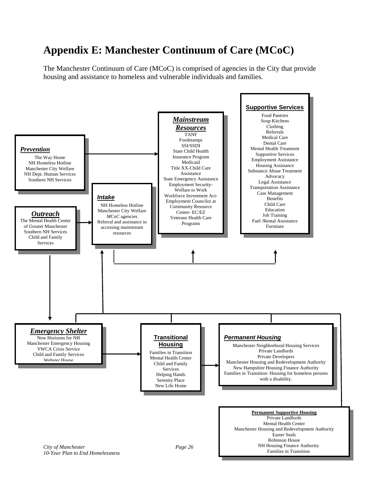# **Appendix E: Manchester Continuum of Care (MCoC)**

The Manchester Continuum of Care (MCoC) is comprised of agencies in the City that provide housing and assistance to homeless and vulnerable individuals and families.

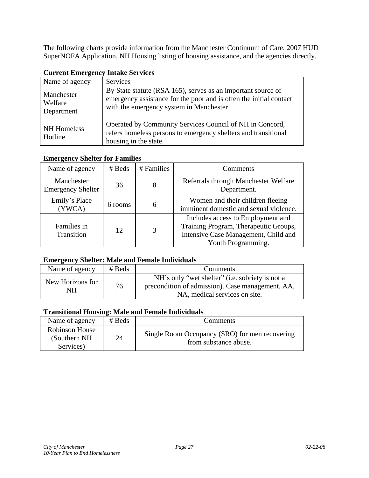The following charts provide information from the Manchester Continuum of Care, 2007 HUD SuperNOFA Application, NH Housing listing of housing assistance, and the agencies directly.

| Name of agency                      | <b>Services</b>                                                                                                                                                               |
|-------------------------------------|-------------------------------------------------------------------------------------------------------------------------------------------------------------------------------|
| Manchester<br>Welfare<br>Department | By State statute (RSA 165), serves as an important source of<br>emergency assistance for the poor and is often the initial contact<br>with the emergency system in Manchester |
| <b>NH</b> Homeless<br>Hotline       | Operated by Community Services Council of NH in Concord,<br>refers homeless persons to emergency shelters and transitional<br>housing in the state.                           |

#### **Current Emergency Intake Services**

#### **Emergency Shelter for Families**

| Name of agency                         | # Beds  | # Families | Comments                                                                                                                                 |
|----------------------------------------|---------|------------|------------------------------------------------------------------------------------------------------------------------------------------|
| Manchester<br><b>Emergency Shelter</b> | 8<br>36 |            | Referrals through Manchester Welfare<br>Department.                                                                                      |
| Emily's Place<br>(YWCA)                | 6 rooms | 6          | Women and their children fleeing<br>imminent domestic and sexual violence.                                                               |
| Families in<br>Transition              | 3<br>12 |            | Includes access to Employment and<br>Training Program, Therapeutic Groups,<br>Intensive Case Management, Child and<br>Youth Programming. |

#### **Emergency Shelter: Male and Female Individuals**

| Name of agency         | $#$ Beds | Comments                                                                                                                             |  |  |  |  |
|------------------------|----------|--------------------------------------------------------------------------------------------------------------------------------------|--|--|--|--|
| New Horizons for<br>NΗ | 76       | NH's only "wet shelter" (i.e. sobriety is not a<br>precondition of admission). Case management, AA,<br>NA, medical services on site. |  |  |  |  |

#### **Transitional Housing: Male and Female Individuals**

| Name of agency                               | $#$ Beds | <b>Comments</b>                                                         |  |  |  |  |
|----------------------------------------------|----------|-------------------------------------------------------------------------|--|--|--|--|
| Robinson House<br>(Southern NH)<br>Services) | 24       | Single Room Occupancy (SRO) for men recovering<br>from substance abuse. |  |  |  |  |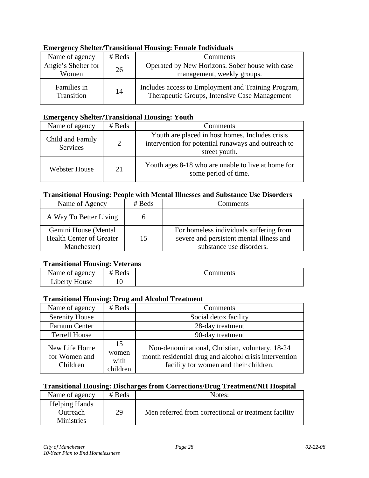| <b>Emergency Shelter/Transitional Housing: Female Individuals</b> |  |  |  |  |  |                 |  |
|-------------------------------------------------------------------|--|--|--|--|--|-----------------|--|
| Name of agency $\parallel$ # Beds                                 |  |  |  |  |  | <b>Comments</b> |  |
|                                                                   |  |  |  |  |  |                 |  |

| Name of agency            | # Beds | Comments                                                                                             |
|---------------------------|--------|------------------------------------------------------------------------------------------------------|
| Angie's Shelter for       | 26     | Operated by New Horizons. Sober house with case                                                      |
| Women                     |        | management, weekly groups.                                                                           |
| Families in<br>Transition | 14     | Includes access to Employment and Training Program,<br>Therapeutic Groups, Intensive Case Management |

#### **Emergency Shelter/Transitional Housing: Youth**

| Name of agency                      | $#$ Beds | Comments                                                                                                                |
|-------------------------------------|----------|-------------------------------------------------------------------------------------------------------------------------|
| Child and Family<br><b>Services</b> | 2        | Youth are placed in host homes. Includes crisis<br>intervention for potential runaways and outreach to<br>street youth. |
| Webster House                       | 21       | Youth ages 8-18 who are unable to live at home for<br>some period of time.                                              |

#### **Transitional Housing: People with Mental Illnesses and Substance Use Disorders**

| Name of Agency                                                         | $#$ Beds | Comments                                                                                                        |
|------------------------------------------------------------------------|----------|-----------------------------------------------------------------------------------------------------------------|
| A Way To Better Living                                                 |          |                                                                                                                 |
| Gemini House (Mental<br><b>Health Center of Greater</b><br>Manchester) | 15       | For homeless individuals suffering from<br>severe and persistent mental illness and<br>substance use disorders. |

#### **Transitional Housing: Veterans**

| Name of agency             | RAC<br>deus | :omments |
|----------------------------|-------------|----------|
| $\cdot$ .<br>Liberty House |             |          |

#### **Transitional Housing: Drug and Alcohol Treatment**

| Name of agency                             | # Beds                          | Comments                                                                                                                                            |
|--------------------------------------------|---------------------------------|-----------------------------------------------------------------------------------------------------------------------------------------------------|
| <b>Serenity House</b>                      |                                 | Social detox facility                                                                                                                               |
| Farnum Center                              |                                 | 28-day treatment                                                                                                                                    |
| <b>Terrell House</b>                       |                                 | 90-day treatment                                                                                                                                    |
| New Life Home<br>for Women and<br>Children | 15<br>women<br>with<br>children | Non-denominational, Christian, voluntary, 18-24<br>month residential drug and alcohol crisis intervention<br>facility for women and their children. |

### **Transitional Housing: Discharges from Corrections/Drug Treatment/NH Hospital**

| Name of agency       | $#$ Beds | Notes:                                               |
|----------------------|----------|------------------------------------------------------|
| <b>Helping Hands</b> |          |                                                      |
| <b>Outreach</b>      | 29       | Men referred from correctional or treatment facility |
| <b>Ministries</b>    |          |                                                      |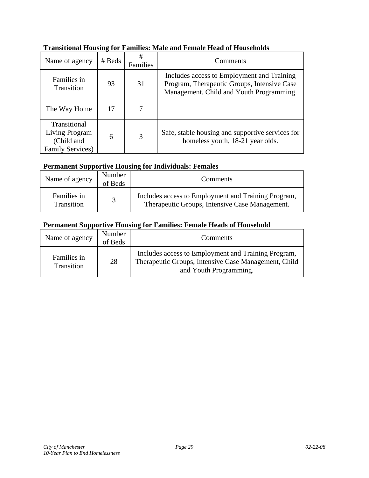| Name of agency                                                           | # Beds | #<br>Families | Comments                                                                                                                              |
|--------------------------------------------------------------------------|--------|---------------|---------------------------------------------------------------------------------------------------------------------------------------|
| Families in<br><b>Transition</b>                                         | 93     | 31            | Includes access to Employment and Training<br>Program, Therapeutic Groups, Intensive Case<br>Management, Child and Youth Programming. |
| The Way Home                                                             | 17     | 7             |                                                                                                                                       |
| Transitional<br>Living Program<br>(Child and<br><b>Family Services</b> ) | 6      | 3             | Safe, stable housing and supportive services for<br>homeless youth, 18-21 year olds.                                                  |

#### **Transitional Housing for Families: Male and Female Head of Households**

#### **Permanent Supportive Housing for Individuals: Females**

| Name of agency            | Number<br>of Beds | Comments                                                                                              |
|---------------------------|-------------------|-------------------------------------------------------------------------------------------------------|
| Families in<br>Transition |                   | Includes access to Employment and Training Program,<br>Therapeutic Groups, Intensive Case Management. |

#### **Permanent Supportive Housing for Families: Female Heads of Household**

| Name of agency            | Number<br>of Beds | <b>Comments</b>                                                                                                                       |
|---------------------------|-------------------|---------------------------------------------------------------------------------------------------------------------------------------|
| Families in<br>Transition | 28                | Includes access to Employment and Training Program,<br>Therapeutic Groups, Intensive Case Management, Child<br>and Youth Programming. |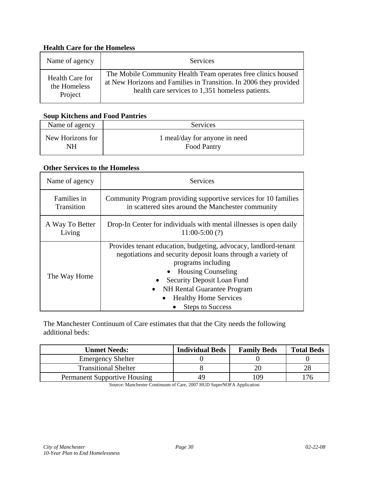#### **Health Care for the Homeless**

| Name of agency  | Services                                                          |
|-----------------|-------------------------------------------------------------------|
| Health Care for | The Mobile Community Health Team operates free clinics housed     |
| the Homeless    | at New Horizons and Families in Transition. In 2006 they provided |
| Project         | health care services to 1,351 homeless patients.                  |

#### **Soup Kitchens and Food Pantries**

| Name of agency   | Services                      |
|------------------|-------------------------------|
| New Horizons for | 1 meal/day for anyone in need |
| NΗ               | <b>Food Pantry</b>            |

#### **Other Services to the Homeless**

| Name of agency  | <b>Services</b>                                                                                                                                                                                                                                                                                              |
|-----------------|--------------------------------------------------------------------------------------------------------------------------------------------------------------------------------------------------------------------------------------------------------------------------------------------------------------|
| Families in     | Community Program providing supportive services for 10 families                                                                                                                                                                                                                                              |
| Transition      | in scattered sites around the Manchester community                                                                                                                                                                                                                                                           |
| A Way To Better | Drop-In Center for individuals with mental illnesses is open daily                                                                                                                                                                                                                                           |
| Living          | $11:00-5:00(?)$                                                                                                                                                                                                                                                                                              |
| The Way Home    | Provides tenant education, budgeting, advocacy, landlord-tenant<br>negotiations and security deposit loans through a variety of<br>programs including<br><b>Housing Counseling</b><br>Security Deposit Loan Fund<br>• NH Rental Guarantee Program<br><b>Healthy Home Services</b><br><b>Steps to Success</b> |

The Manchester Continuum of Care estimates that that the City needs the following additional beds:

| <b>Unmet Needs:</b>                 | <b>Individual Beds</b> | <b>Family Beds</b> | <b>Total Beds</b> |
|-------------------------------------|------------------------|--------------------|-------------------|
| <b>Emergency Shelter</b>            |                        |                    |                   |
| <b>Transitional Shelter</b>         |                        |                    |                   |
| <b>Permanent Supportive Housing</b> | 49                     | 109                |                   |

Source: Manchester Continuum of Care, 2007 HUD SuperNOFA Application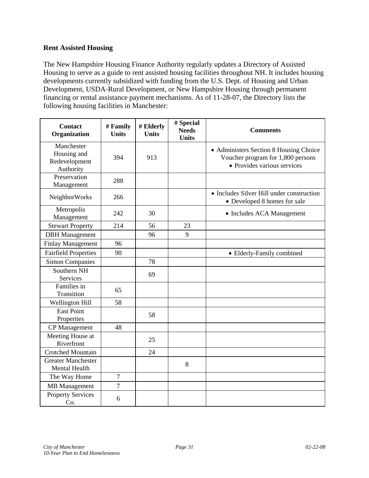#### **Rent Assisted Housing**

The New Hampshire Housing Finance Authority regularly updates a Directory of Assisted Housing to serve as a guide to rent assisted housing facilities throughout NH. It includes housing developments currently subsidized with funding from the U.S. Dept. of Housing and Urban Development, USDA-Rural Development, or New Hampshire Housing through permanent financing or rental assistance payment mechanisms. As of 11-28-07, the Directory lists the following housing facilities in Manchester:

| <b>Contact</b><br>Organization                          | # Family<br><b>Units</b> | # Elderly<br><b>Units</b> | # Special<br><b>Needs</b> | <b>Comments</b>                                                                                            |
|---------------------------------------------------------|--------------------------|---------------------------|---------------------------|------------------------------------------------------------------------------------------------------------|
|                                                         |                          |                           | <b>Units</b>              |                                                                                                            |
| Manchester<br>Housing and<br>Redevelopment<br>Authority | 394                      | 913                       |                           | • Administers Section 8 Housing Choice<br>Voucher program for 1,800 persons<br>• Provides various services |
| Preservation<br>Management                              | 288                      |                           |                           |                                                                                                            |
| NeighborWorks                                           | 266                      |                           |                           | • Includes Silver Hill under construction<br>• Developed 8 homes for sale                                  |
| Metropolis<br>Management                                | 242                      | 30                        |                           | • Includes ACA Management                                                                                  |
| <b>Stewart Property</b>                                 | 214                      | 56                        | 23                        |                                                                                                            |
| <b>DBH</b> Management                                   |                          | 96                        | 9                         |                                                                                                            |
| <b>Finlay Management</b>                                | 96                       |                           |                           |                                                                                                            |
| <b>Fairfield Properties</b>                             | 90                       |                           |                           | • Elderly-Family combined                                                                                  |
| <b>Simon Companies</b>                                  |                          | 78                        |                           |                                                                                                            |
| Southern NH<br>Services                                 |                          | 69                        |                           |                                                                                                            |
| Families in<br>Transition                               | 65                       |                           |                           |                                                                                                            |
| Wellington Hill                                         | 58                       |                           |                           |                                                                                                            |
| <b>East Point</b><br>Properties                         |                          | 58                        |                           |                                                                                                            |
| CP Management                                           | 48                       |                           |                           |                                                                                                            |
| Meeting House at<br>Riverfront                          |                          | 25                        |                           |                                                                                                            |
| <b>Crotched Mountain</b>                                |                          | 24                        |                           |                                                                                                            |
| <b>Greater Manchester</b><br>Mental Health              |                          |                           | 8                         |                                                                                                            |
| The Way Home                                            | $\overline{7}$           |                           |                           |                                                                                                            |
| <b>MB</b> Management                                    | $\overline{7}$           |                           |                           |                                                                                                            |
| <b>Property Services</b><br>Co.                         | 6                        |                           |                           |                                                                                                            |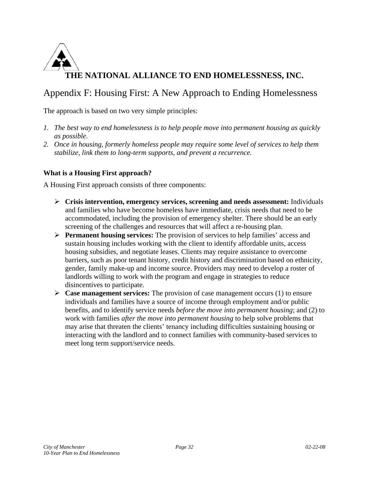

### Appendix F: Housing First: A New Approach to Ending Homelessness

The approach is based on two very simple principles:

- *1. The best way to end homelessness is to help people move into permanent housing as quickly as possible.*
- *2. Once in housing, formerly homeless people may require some level of services to help them stabilize, link them to long-term supports, and prevent a recurrence.*

#### **What is a Housing First approach?**

A Housing First approach consists of three components:

- ¾ **Crisis intervention, emergency services, screening and needs assessment:** Individuals and families who have become homeless have immediate, crisis needs that need to be accommodated, including the provision of emergency shelter. There should be an early screening of the challenges and resources that will affect a re-housing plan.
- ¾ **Permanent housing services:** The provision of services to help families' access and sustain housing includes working with the client to identify affordable units, access housing subsidies, and negotiate leases. Clients may require assistance to overcome barriers, such as poor tenant history, credit history and discrimination based on ethnicity, gender, family make-up and income source. Providers may need to develop a roster of landlords willing to work with the program and engage in strategies to reduce disincentives to participate.
- ¾ **Case management services:** The provision of case management occurs (1) to ensure individuals and families have a source of income through employment and/or public benefits, and to identify service needs *before the move into permanent housing*; and (2) to work with families *after the move into permanent housing* to help solve problems that may arise that threaten the clients' tenancy including difficulties sustaining housing or interacting with the landlord and to connect families with community-based services to meet long term support/service needs.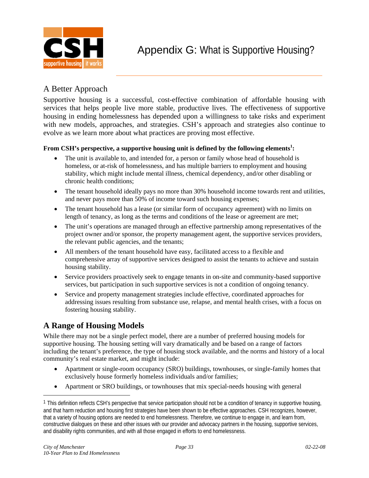

### A Better Approach

Supportive housing is a successful, cost-effective combination of affordable housing with services that helps people live more stable, productive lives. The effectiveness of supportive housing in ending homelessness has depended upon a willingness to take risks and experiment with new models, approaches, and strategies. CSH's approach and strategies also continue to evolve as we learn more about what practices are proving most effective.

#### **From CSH's perspective, a supportive housing unit is defined by the following elements<sup>1</sup> :**

- The unit is available to, and intended for, a person or family whose head of household is homeless, or at-risk of homelessness, and has multiple barriers to employment and housing stability, which might include mental illness, chemical dependency, and/or other disabling or chronic health conditions;
- The tenant household ideally pays no more than 30% household income towards rent and utilities, and never pays more than 50% of income toward such housing expenses;
- The tenant household has a lease (or similar form of occupancy agreement) with no limits on length of tenancy, as long as the terms and conditions of the lease or agreement are met;
- The unit's operations are managed through an effective partnership among representatives of the project owner and/or sponsor, the property management agent, the supportive services providers, the relevant public agencies, and the tenants;
- All members of the tenant household have easy, facilitated access to a flexible and comprehensive array of supportive services designed to assist the tenants to achieve and sustain housing stability.
- Service providers proactively seek to engage tenants in on-site and community-based supportive services, but participation in such supportive services is not a condition of ongoing tenancy.
- Service and property management strategies include effective, coordinated approaches for addressing issues resulting from substance use, relapse, and mental health crises, with a focus on fostering housing stability.

### **A Range of Housing Models**

While there may not be a single perfect model, there are a number of preferred housing models for supportive housing. The housing setting will vary dramatically and be based on a range of factors including the tenant's preference, the type of housing stock available, and the norms and history of a local community's real estate market, and might include:

- Apartment or single-room occupancy (SRO) buildings, townhouses, or single-family homes that exclusively house formerly homeless individuals and/or families;
- Apartment or SRO buildings, or townhouses that mix special-needs housing with general

 $\overline{a}$ 

 $1$  This definition reflects CSH's perspective that service participation should not be a condition of tenancy in supportive housing. and that harm reduction and housing first strategies have been shown to be effective approaches. CSH recognizes, however, that a variety of housing options are needed to end homelessness. Therefore, we continue to engage in, and learn from, constructive dialogues on these and other issues with our provider and advocacy partners in the housing, supportive services, and disability rights communities, and with all those engaged in efforts to end homelessness.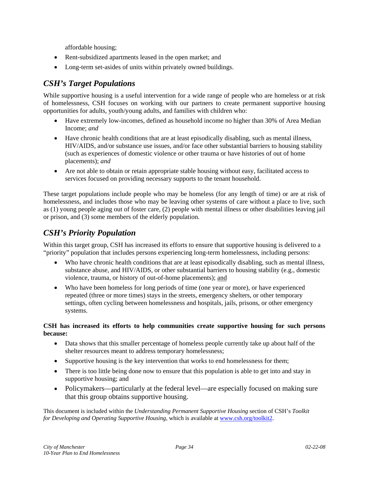affordable housing;

- Rent-subsidized apartments leased in the open market; and
- Long-term set-asides of units within privately owned buildings.

### *CSH's Target Populations*

While supportive housing is a useful intervention for a wide range of people who are homeless or at risk of homelessness, CSH focuses on working with our partners to create permanent supportive housing opportunities for adults, youth/young adults, and families with children who:

- Have extremely low-incomes, defined as household income no higher than 30% of Area Median Income; *and*
- Have chronic health conditions that are at least episodically disabling, such as mental illness, HIV/AIDS, and/or substance use issues, and/or face other substantial barriers to housing stability (such as experiences of domestic violence or other trauma or have histories of out of home placements); *and*
- Are not able to obtain or retain appropriate stable housing without easy, facilitated access to services focused on providing necessary supports to the tenant household.

These target populations include people who may be homeless (for any length of time) or are at risk of homelessness, and includes those who may be leaving other systems of care without a place to live, such as (1) young people aging out of foster care, (2) people with mental illness or other disabilities leaving jail or prison, and (3) some members of the elderly population.

### *CSH's Priority Population*

Within this target group, CSH has increased its efforts to ensure that supportive housing is delivered to a "priority" population that includes persons experiencing long-term homelessness, including persons:

- Who have chronic health conditions that are at least episodically disabling, such as mental illness, substance abuse, and HIV/AIDS, or other substantial barriers to housing stability (e.g., domestic violence, trauma, or history of out-of-home placements); and
- Who have been homeless for long periods of time (one year or more), or have experienced repeated (three or more times) stays in the streets, emergency shelters, or other temporary settings, often cycling between homelessness and hospitals, jails, prisons, or other emergency systems.

#### **CSH has increased its efforts to help communities create supportive housing for such persons because:**

- Data shows that this smaller percentage of homeless people currently take up about half of the shelter resources meant to address temporary homelessness;
- Supportive housing is the key intervention that works to end homelessness for them;
- There is too little being done now to ensure that this population is able to get into and stay in supportive housing; and
- Policymakers—particularly at the federal level—are especially focused on making sure that this group obtains supportive housing.

This document is included within the *Understanding Permanent Supportive Housing* section of CSH's *Toolkit for Developing and Operating Supportive Housing*, which is available at www.csh.org/toolkit2.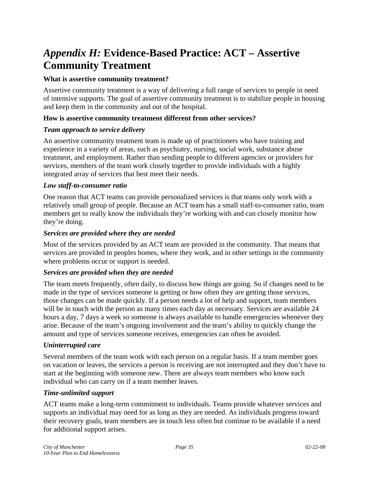# *Appendix H:* **Evidence-Based Practice: ACT – Assertive Community Treatment**

#### **What is assertive community treatment?**

Assertive community treatment is a way of delivering a full range of services to people in need of intensive supports. The goal of assertive community treatment is to stabilize people in housing and keep them in the community and out of the hospital.

#### **How is assertive community treatment different from other services?**

#### *Team approach to service delivery*

An assertive community treatment team is made up of practitioners who have training and experience in a variety of areas, such as psychiatry, nursing, social work, substance abuse treatment, and employment. Rather than sending people to different agencies or providers for services, members of the team work closely together to provide individuals with a highly integrated array of services that best meet their needs.

#### *Low staff-to-consumer ratio*

One reason that ACT teams can provide personalized services is that teams only work with a relatively small group of people. Because an ACT team has a small staff-to-consumer ratio, team members get to really know the individuals they're working with and can closely monitor how they're doing.

#### *Services are provided where they are needed*

Most of the services provided by an ACT team are provided in the community. That means that services are provided in peoples homes, where they work, and in other settings in the community where problems occur or support is needed.

#### *Services are provided when they are needed*

The team meets frequently, often daily, to discuss how things are going. So if changes need to be made in the type of services someone is getting or how often they are getting those services, those changes can be made quickly. If a person needs a lot of help and support, team members will be in touch with the person as many times each day as necessary. Services are available 24 hours a day, 7 days a week so someone is always available to handle emergencies whenever they arise. Because of the team's ongoing involvement and the team's ability to quickly change the amount and type of services someone receives, emergencies can often be avoided.

#### *Uninterrupted care*

Several members of the team work with each person on a regular basis. If a team member goes on vacation or leaves, the services a person is receiving are not interrupted and they don't have to start at the beginning with someone new. There are always team members who know each individual who can carry on if a team member leaves.

#### *Time-unlimited support*

ACT teams make a long-term commitment to individuals. Teams provide whatever services and supports an individual may need for as long as they are needed. As individuals progress toward their recovery goals, team members are in touch less often but continue to be available if a need for additional support arises.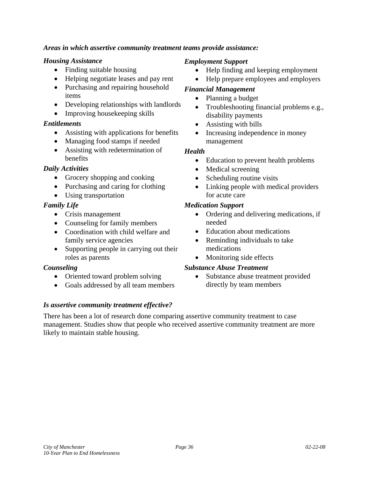#### *Areas in which assertive community treatment teams provide assistance:*

#### *Housing Assistance*

- Finding suitable housing
- Helping negotiate leases and pay rent
- Purchasing and repairing household items
- Developing relationships with landlords
- Improving house keeping skills

#### *Entitlements*

- Assisting with applications for benefits
- Managing food stamps if needed
- Assisting with redetermination of benefits

#### *Daily Activities*

- Grocery shopping and cooking
- Purchasing and caring for clothing
- Using transportation

#### *Family Life*

- Crisis management
- Counseling for family members
- Coordination with child welfare and family service agencies
- Supporting people in carrying out their roles as parents

#### *Counseling*

- Oriented toward problem solving
- Goals addressed by all team members

#### *Is assertive community treatment effective?*

#### *Employment Support*

- Help finding and keeping employment
- Help prepare employees and employers

#### *Financial Management*

- Planning a budget
- Troubleshooting financial problems e.g., disability payments
- Assisting with bills
- Increasing independence in money management

#### *Health*

- Education to prevent health problems
- Medical screening
- Scheduling routine visits
- Linking people with medical providers for acute care

#### *Medication Support*

- Ordering and delivering medications, if needed
- Education about medications
- Reminding individuals to take medications
- Monitoring side effects

#### *Substance Abuse Treatment*

• Substance abuse treatment provided directly by team members

There has been a lot of research done comparing assertive community treatment to case management. Studies show that people who received assertive community treatment are more likely to maintain stable housing.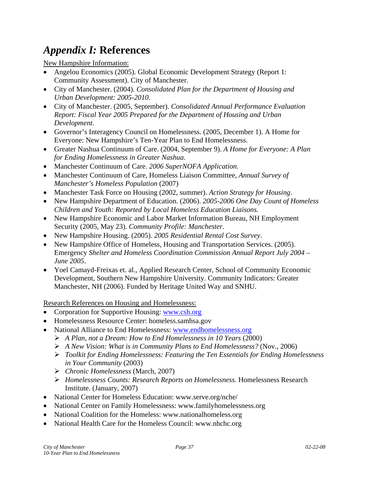# *Appendix I:* **References**

New Hampshire Information:

- Angelou Economics (2005). Global Economic Development Strategy (Report 1: Community Assessment). City of Manchester.
- City of Manchester. (2004). *Consolidated Plan for the Department of Housing and Urban Development: 2005-2010*.
- City of Manchester. (2005, September). *Consolidated Annual Performance Evaluation Report: Fiscal Year 2005 Prepared for the Department of Housing and Urban Development*.
- Governor's Interagency Council on Homelessness. (2005, December 1). A Home for Everyone: New Hampshire's Ten-Year Plan to End Homelessness.
- Greater Nashua Continuum of Care. (2004, September 9). *A Home for Everyone: A Plan for Ending Homelessness in Greater Nashua*.
- Manchester Continuum of Care. *2006 SuperNOFA Application.*
- Manchester Continuum of Care, Homeless Liaison Committee, *Annual Survey of Manchester's Homeless Population* (2007)
- Manchester Task Force on Housing (2002, summer). *Action Strategy for Housing*.
- New Hampshire Department of Education. (2006). *2005-2006 One Day Count of Homeless Children and Youth: Reported by Local Homeless Education Liaisons.*
- New Hampshire Economic and Labor Market Information Bureau, NH Employment Security (2005, May 23). *Community Profile: Manchester*.
- New Hampshire Housing. (2005). *2005 Residential Rental Cost Survey*.
- New Hampshire Office of Homeless, Housing and Transportation Services. (2005). Emergency *Shelter and Homeless Coordination Commission Annual Report July 2004 – June 2005*.
- Yoel Camayd-Freixas et. al., Applied Research Center, School of Community Economic Development, Southern New Hampshire University. Community Indicators: Greater Manchester, NH (2006). Funded by Heritage United Way and SNHU.

Research References on Housing and Homelessness:

- Corporation for Supportive Housing: www.csh.org
- Homelessness Resource Center: homeless.samhsa.gov
- National Alliance to End Homelessness: www.endhomelessness.org
	- ¾ *A Plan, not a Dream: How to End Homelessness in 10 Years* (2000)
	- ¾ *A New Vision: What is in Community Plans to End Homelessness?* (Nov., 2006)
	- ¾ *Toolkit for Ending Homelessness: Featuring the Ten Essentials for Ending Homelessness in Your Community* (2003)
	- ¾ *Chronic Homelessness* (March, 2007)
	- ¾ *Homelessness Counts: Research Reports on Homelessness.* Homelessness Research Institute. (January, 2007)
- National Center for Homeless Education: www.serve.org/nche/
- National Center on Family Homelessness: www.familyhomelessness.org
- National Coalition for the Homeless: www.nationalhomeless.org
- National Health Care for the Homeless Council: www.nhchc.org